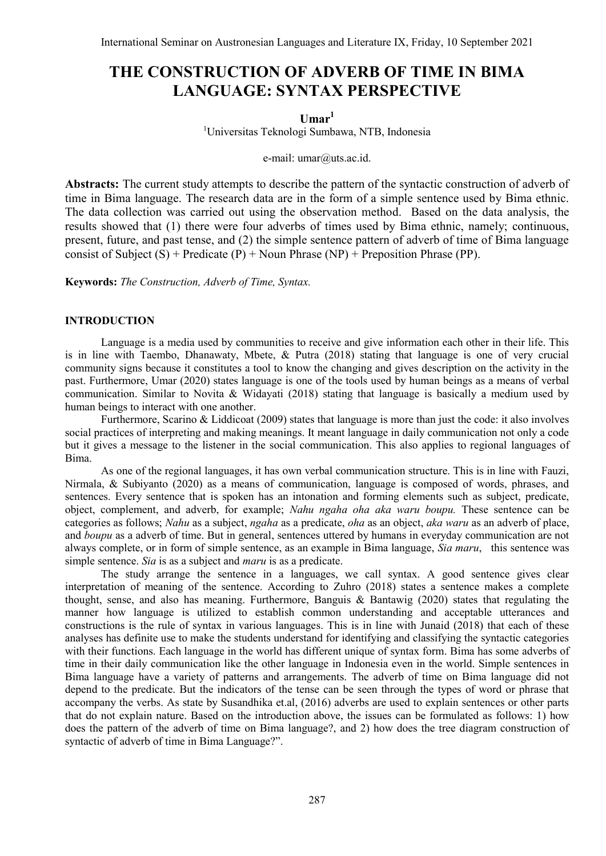# **THE CONSTRUCTION OF ADVERB OF TIME IN BIMA LANGUAGE: SYNTAX PERSPECTIVE**

**Umar<sup>1</sup>**

<sup>1</sup>Universitas Teknologi Sumbawa, NTB, Indonesia

e-mail: [umar@uts.ac.id.](mailto:umar@uts.ac.id)

**Abstracts:** The current study attempts to describe the pattern of the syntactic construction of adverb of time in Bima language. The research data are in the form of a simple sentence used by Bima ethnic. The data collection was carried out using the observation method. Based on the data analysis, the results showed that (1) there were four adverbs of times used by Bima ethnic, namely; continuous, present, future, and past tense, and (2) the simple sentence pattern of adverb of time of Bima language consist of Subject  $(S)$  + Predicate  $(P)$  + Noun Phrase  $(NP)$  + Preposition Phrase (PP).

**Keywords:** *The Construction, Adverb of Time, Syntax.*

# **INTRODUCTION**

Language is a media used by communities to receive and give information each other in their life. This is in line with Taembo, Dhanawaty, Mbete, & Putra (2018) stating that language is one of very crucial community signs because it constitutes a tool to know the changing and gives description on the activity in the past. Furthermore, Umar (2020) states language is one of the tools used by human beings as a means of verbal communication. Similar to Novita & Widayati (2018) stating that language is basically a medium used by human beings to interact with one another.

Furthermore, Scarino & Liddicoat (2009) states that language is more than just the code: it also involves social practices of interpreting and making meanings. It meant language in daily communication not only a code but it gives a message to the listener in the social communication. This also applies to regional languages of Bima.

As one of the regional languages, it has own verbal communication structure. This is in line with Fauzi, Nirmala, & Subiyanto (2020) as a means of communication, language is composed of words, phrases, and sentences. Every sentence that is spoken has an intonation and forming elements such as subject, predicate, object, complement, and adverb, for example; *Nahu ngaha oha aka waru boupu.* These sentence can be categories as follows; *Nahu* as a subject, *ngaha* as a predicate, *oha* as an object, *aka waru* as an adverb of place, and *boupu* as a adverb of time. But in general, sentences uttered by humans in everyday communication are not always complete, or in form of simple sentence, as an example in Bima language, *Sia maru*, this sentence was simple sentence. *Sia* is as a subject and *maru* is as a predicate.

The study arrange the sentence in a languages, we call syntax. A good sentence gives clear interpretation of meaning of the sentence. According to Zuhro (2018) states a sentence makes a complete thought, sense, and also has meaning. Furthermore, Banguis & Bantawig (2020) states that regulating the manner how language is utilized to establish common understanding and acceptable utterances and constructions is the rule of syntax in various languages. This is in line with Junaid (2018) that each of these analyses has definite use to make the students understand for identifying and classifying the syntactic categories with their functions. Each language in the world has different unique of syntax form. Bima has some adverbs of time in their daily communication like the other language in Indonesia even in the world. Simple sentences in Bima language have a variety of patterns and arrangements. The adverb of time on Bima language did not depend to the predicate. But the indicators of the tense can be seen through the types of word or phrase that accompany the verbs. As state by Susandhika et.al, (2016) adverbs are used to explain sentences or other parts that do not explain nature. Based on the introduction above, the issues can be formulated as follows: 1) how does the pattern of the adverb of time on Bima language?, and 2) how does the tree diagram construction of syntactic of adverb of time in Bima Language?".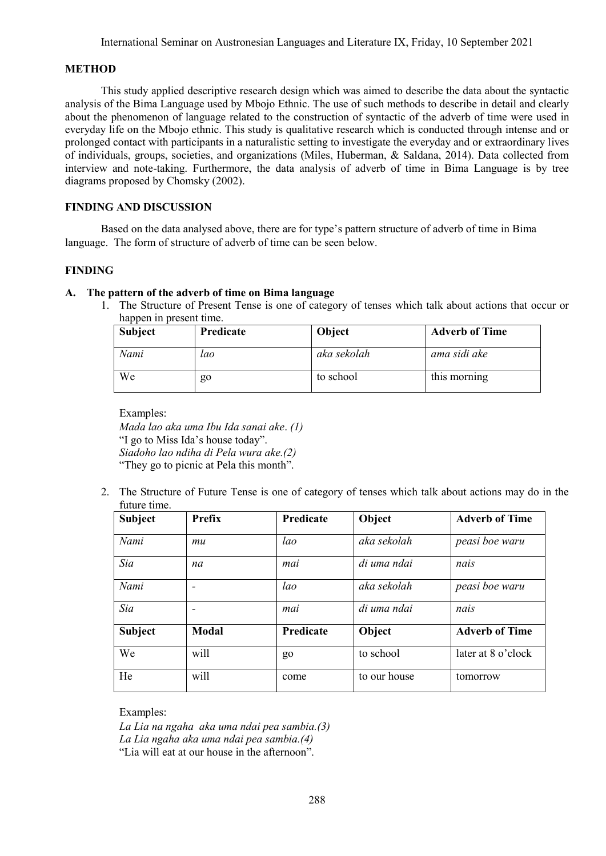## **METHOD**

This study applied descriptive research design which was aimed to describe the data about the syntactic analysis of the Bima Language used by Mbojo Ethnic. The use of such methods to describe in detail and clearly about the phenomenon of language related to the construction of syntactic of the adverb of time were used in everyday life on the Mbojo ethnic. This study is qualitative research which is conducted through intense and or prolonged contact with participants in a naturalistic setting to investigate the everyday and or extraordinary lives of individuals, groups, societies, and organizations (Miles, Huberman, & Saldana, 2014). Data collected from interview and note-taking. Furthermore, the data analysis of adverb of time in Bima Language is by tree diagrams proposed by Chomsky (2002).

# **FINDING AND DISCUSSION**

Based on the data analysed above, there are for type's pattern structure of adverb of time in Bima language. The form of structure of adverb of time can be seen below.

## **FINDING**

# **A. The pattern of the adverb of time on Bima language**

1. The Structure of Present Tense is one of category of tenses which talk about actions that occur or happen in present time.

| <b>Subject</b> | Predicate | Object      | <b>Adverb of Time</b> |
|----------------|-----------|-------------|-----------------------|
| Nami           | lao       | aka sekolah | ama sidi ake          |
| We             | go        | to school   | this morning          |

Examples: *Mada lao aka uma Ibu Ida sanai ake*. *(1)* "I go to Miss Ida's house today". *Siadoho lao ndiha di Pela wura ake.(2)* "They go to picnic at Pela this month".

2. The Structure of Future Tense is one of category of tenses which talk about actions may do in the future time.

| <b>Subject</b> | Prefix                   | Predicate | Object       | <b>Adverb of Time</b> |
|----------------|--------------------------|-----------|--------------|-----------------------|
| Nami           | mu                       | lao       | aka sekolah  | peasi boe waru        |
| Sia            | na                       | mai       | di uma ndai  | nais                  |
| Nami           | $\overline{\phantom{0}}$ | lao       | aka sekolah  | peasi boe waru        |
| Sia            |                          | mai       | di uma ndai  | nais                  |
| <b>Subject</b> | Modal                    | Predicate | Object       | <b>Adverb of Time</b> |
| We             | will                     | go        | to school    | later at 8 o'clock    |
| He             | will                     | come      | to our house | tomorrow              |

Examples:

*La Lia na ngaha aka uma ndai pea sambia.(3) La Lia ngaha aka uma ndai pea sambia.(4)* "Lia will eat at our house in the afternoon".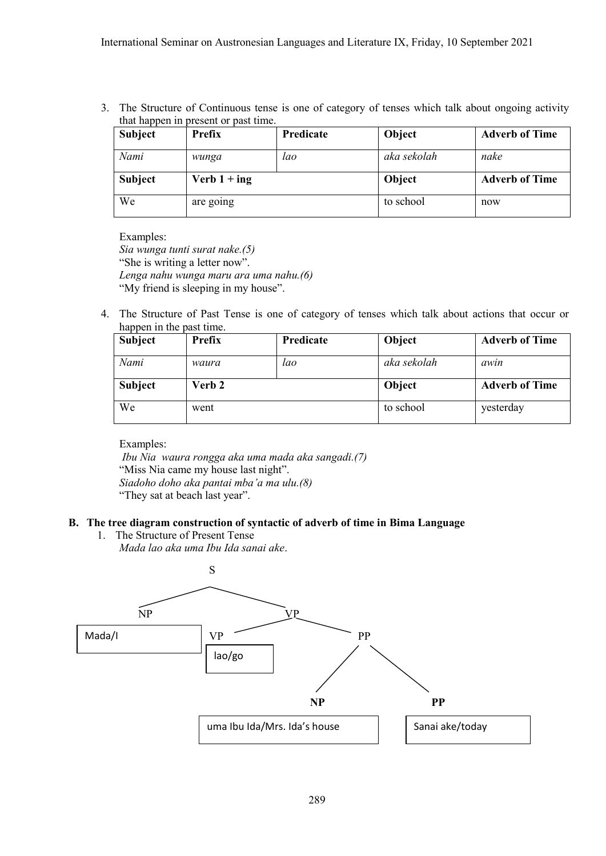3. The Structure of Continuous tense is one of category of tenses which talk about ongoing activity that happen in present or past time.

| <b>Subject</b> | Prefix         | <b>Predicate</b> | Object      | <b>Adverb of Time</b> |
|----------------|----------------|------------------|-------------|-----------------------|
| Nami           | wunga          | lao              | aka sekolah | nake                  |
| <b>Subject</b> | Verb $1 + ing$ |                  | Object      | <b>Adverb of Time</b> |
| We             | are going      |                  | to school   | now                   |

Examples: *Sia wunga tunti surat nake.(5)* "She is writing a letter now". *Lenga nahu wunga maru ara uma nahu.(6)* "My friend is sleeping in my house".

4. The Structure of Past Tense is one of category of tenses which talk about actions that occur or happen in the past time.

| <b>Subject</b> | Prefix | Predicate | Object      | <b>Adverb of Time</b> |
|----------------|--------|-----------|-------------|-----------------------|
| Nami           | waura  | lao       | aka sekolah | awin                  |
| <b>Subject</b> | Verb 2 |           | Object      | <b>Adverb of Time</b> |
| We             | went   |           | to school   | yesterday             |

Examples:

*Ibu Nia waura rongga aka uma mada aka sangadi.(7)* "Miss Nia came my house last night". *Siadoho doho aka pantai mba'a ma ulu.(8)* "They sat at beach last year".

# **B. The tree diagram construction of syntactic of adverb of time in Bima Language**

1. The Structure of Present Tense *Mada lao aka uma Ibu Ida sanai ake*.

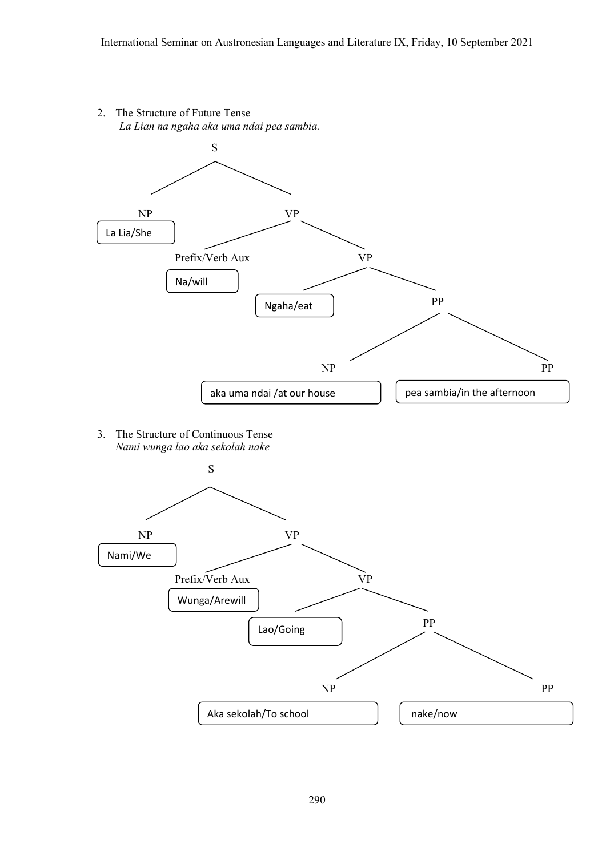2. The Structure of Future Tense *La Lian na ngaha aka uma ndai pea sambia.*



3. The Structure of Continuous Tense *Nami wunga lao aka sekolah nake*

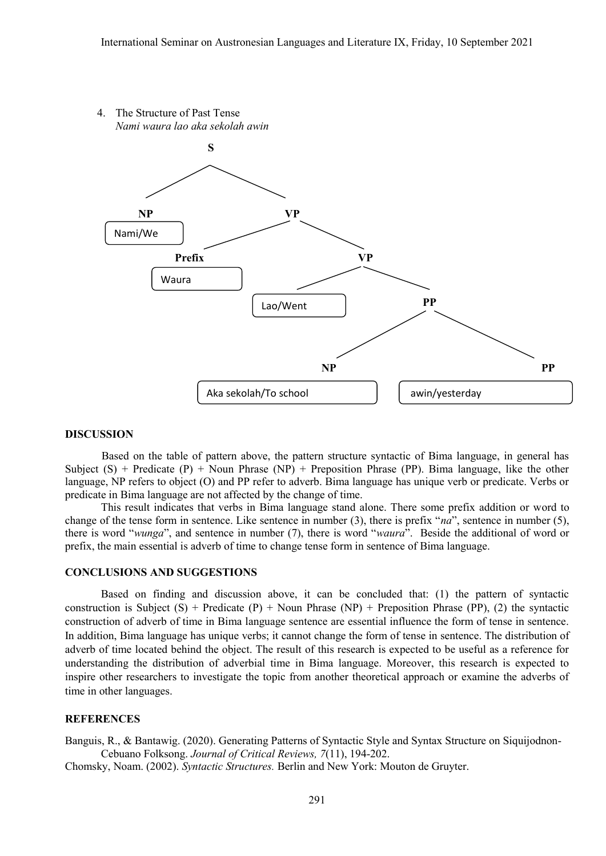

### **DISCUSSION**

Based on the table of pattern above, the pattern structure syntactic of Bima language, in general has Subject  $(S)$  + Predicate  $(P)$  + Noun Phrase  $(NP)$  + Preposition Phrase  $(PP)$ . Bima language, like the other language, NP refers to object (O) and PP refer to adverb. Bima language has unique verb or predicate. Verbs or predicate in Bima language are not affected by the change of time.

This result indicates that verbs in Bima language stand alone. There some prefix addition or word to change of the tense form in sentence. Like sentence in number (3), there is prefix "*na*", sentence in number (5), there is word "*wunga*", and sentence in number (7), there is word "*waura*". Beside the additional of word or prefix, the main essential is adverb of time to change tense form in sentence of Bima language.

### **CONCLUSIONS AND SUGGESTIONS**

Based on finding and discussion above, it can be concluded that: (1) the pattern of syntactic construction is Subject  $(S)$  + Predicate  $(P)$  + Noun Phrase  $(NP)$  + Preposition Phrase  $(PP)$ , (2) the syntactic construction of adverb of time in Bima language sentence are essential influence the form of tense in sentence. In addition, Bima language has unique verbs; it cannot change the form of tense in sentence. The distribution of adverb of time located behind the object. The result of this research is expected to be useful as a reference for understanding the distribution of adverbial time in Bima language. Moreover, this research is expected to inspire other researchers to investigate the topic from another theoretical approach or examine the adverbs of time in other languages.

#### **REFERENCES**

Banguis, R., & Bantawig. (2020). Generating Patterns of Syntactic Style and Syntax Structure on Siquijodnon-Cebuano Folksong. *Journal of Critical Reviews, 7*(11), 194-202.

Chomsky, Noam. (2002). *Syntactic Structures.* Berlin and New York: Mouton de Gruyter.